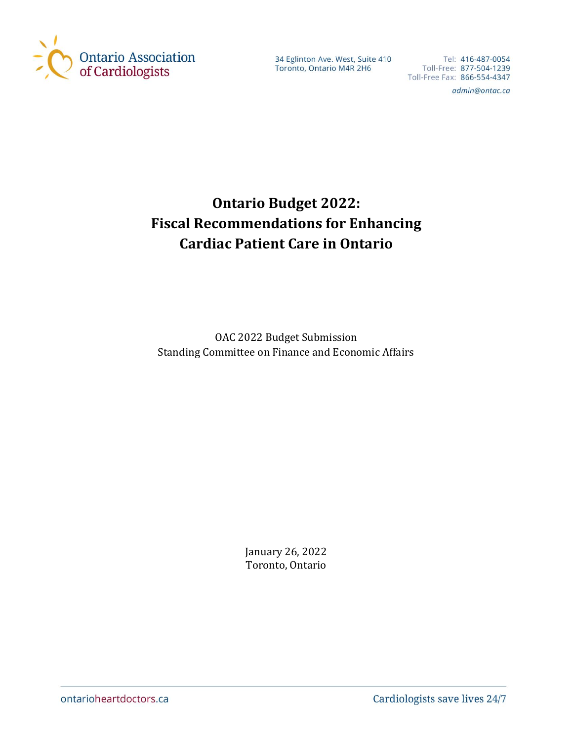

34 Eglinton Ave. West, Suite 410 34 Egimton Ave. West, Suite 410<br>Toronto, Ontario M4R 2H6

Tel: 416-487-0054 Tel: 416-487-0054<br>Toll-Free: 877-504-1239<br>Tall Free Four 966 FE4 4347 Toll-Free Fax: 866-554-4347

admin@ontac.ca

# **Ontario Budget 2022: Fiscal Recommendations for Enhancing Cardiac Patient Care in Ontario**

OAC 2022 Budget Submission Standing Committee on Finance and Economic Affairs

> January 26, 2022 Toronto, Ontario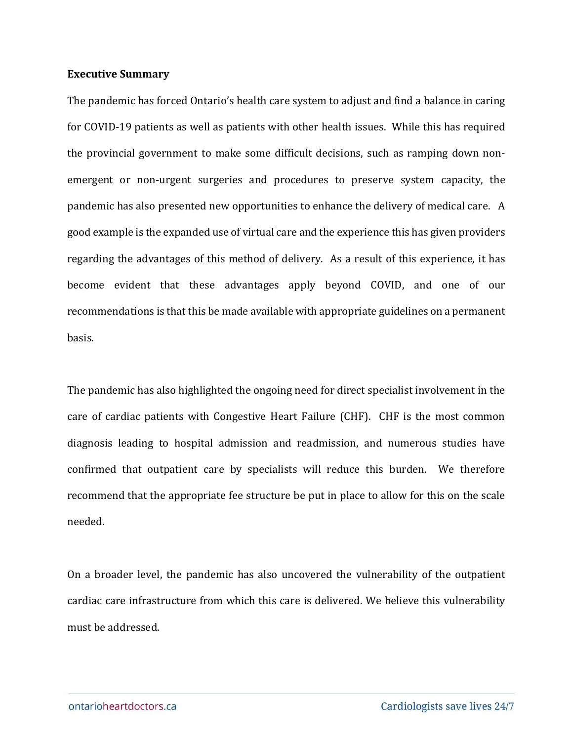#### **Executive Summary**

The pandemic has forced Ontario's health care system to adjust and find a balance in caring for COVID-19 patients as well as patients with other health issues. While this has required the provincial government to make some difficult decisions, such as ramping down nonemergent or non-urgent surgeries and procedures to preserve system capacity, the pandemic has also presented new opportunities to enhance the delivery of medical care. A good example is the expanded use of virtual care and the experience this has given providers regarding the advantages of this method of delivery. As a result of this experience, it has become evident that these advantages apply beyond COVID, and one of our recommendations is that this be made available with appropriate guidelines on a permanent basis.

The pandemic has also highlighted the ongoing need for direct specialist involvement in the care of cardiac patients with Congestive Heart Failure (CHF). CHF is the most common diagnosis leading to hospital admission and readmission, and numerous studies have confirmed that outpatient care by specialists will reduce this burden. We therefore recommend that the appropriate fee structure be put in place to allow for this on the scale needed.

On a broader level, the pandemic has also uncovered the vulnerability of the outpatient cardiac care infrastructure from which this care is delivered. We believe this vulnerability must be addressed.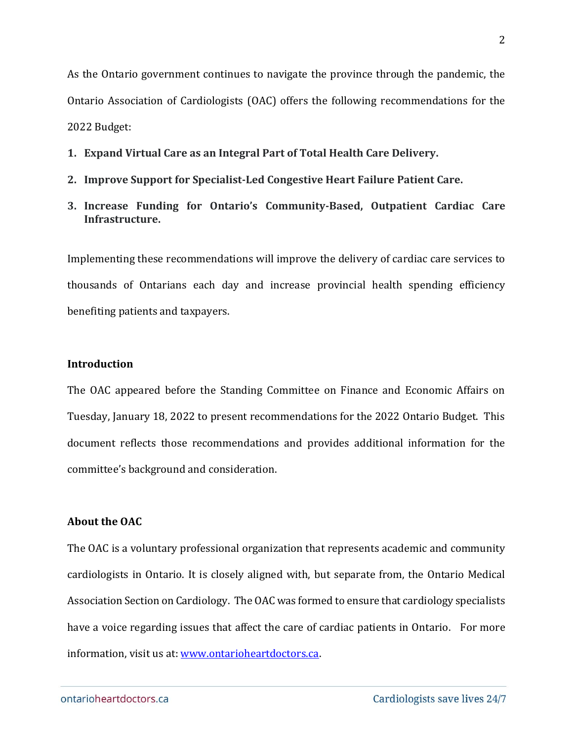As the Ontario government continues to navigate the province through the pandemic, the Ontario Association of Cardiologists (OAC) offers the following recommendations for the 2022 Budget:

- **1. Expand Virtual Care as an Integral Part of Total Health Care Delivery.**
- **2. Improve Support for Specialist-Led Congestive Heart Failure Patient Care.**
- **3. Increase Funding for Ontario's Community-Based, Outpatient Cardiac Care Infrastructure.**

Implementing these recommendations will improve the delivery of cardiac care services to thousands of Ontarians each day and increase provincial health spending efficiency benefiting patients and taxpayers.

#### **Introduction**

The OAC appeared before the Standing Committee on Finance and Economic Affairs on Tuesday, January 18, 2022 to present recommendations for the 2022 Ontario Budget. This document reflects those recommendations and provides additional information for the committee's background and consideration.

#### **About the OAC**

The OAC is a voluntary professional organization that represents academic and community cardiologists in Ontario. It is closely aligned with, but separate from, the Ontario Medical Association Section on Cardiology. The OAC was formed to ensure that cardiology specialists have a voice regarding issues that affect the care of cardiac patients in Ontario. For more information, visit us at: [www.ontarioheartdoctors.ca.](http://www.ontarioheartdoctors.ca/)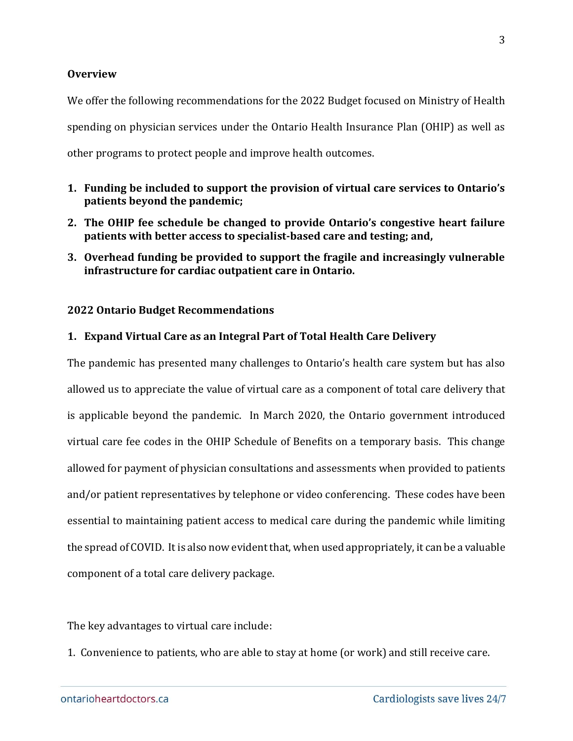## **Overview**

We offer the following recommendations for the 2022 Budget focused on Ministry of Health spending on physician services under the Ontario Health Insurance Plan (OHIP) as well as other programs to protect people and improve health outcomes.

- **1. Funding be included to support the provision of virtual care services to Ontario's patients beyond the pandemic;**
- **2. The OHIP fee schedule be changed to provide Ontario's congestive heart failure patients with better access to specialist-based care and testing; and,**
- **3. Overhead funding be provided to support the fragile and increasingly vulnerable infrastructure for cardiac outpatient care in Ontario.**

## **2022 Ontario Budget Recommendations**

# **1. Expand Virtual Care as an Integral Part of Total Health Care Delivery**

The pandemic has presented many challenges to Ontario's health care system but has also allowed us to appreciate the value of virtual care as a component of total care delivery that is applicable beyond the pandemic. In March 2020, the Ontario government introduced virtual care fee codes in the OHIP Schedule of Benefits on a temporary basis. This change allowed for payment of physician consultations and assessments when provided to patients and/or patient representatives by telephone or video conferencing. These codes have been essential to maintaining patient access to medical care during the pandemic while limiting the spread of COVID. It is also now evident that, when used appropriately, it can be a valuable component of a total care delivery package.

The key advantages to virtual care include:

1. Convenience to patients, who are able to stay at home (or work) and still receive care.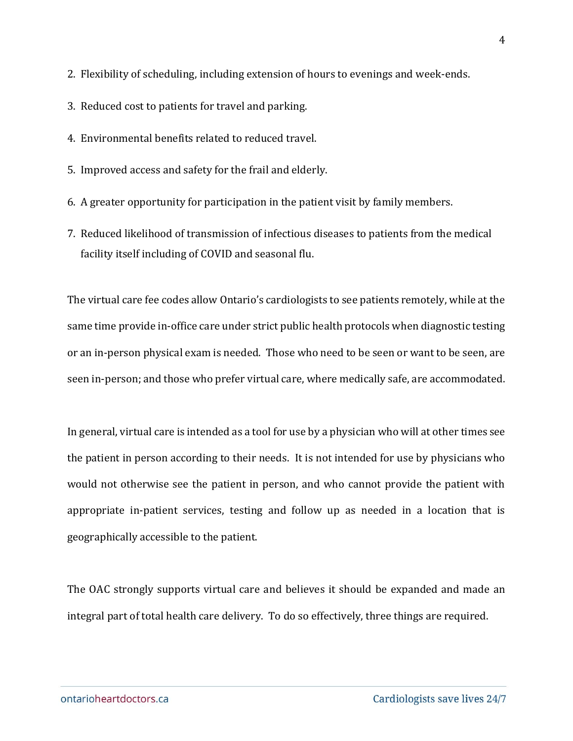2. Flexibility of scheduling, including extension of hours to evenings and week-ends.

- 3. Reduced cost to patients for travel and parking.
- 4. Environmental benefits related to reduced travel.
- 5. Improved access and safety for the frail and elderly.
- 6. A greater opportunity for participation in the patient visit by family members.
- 7. Reduced likelihood of transmission of infectious diseases to patients from the medical facility itself including of COVID and seasonal flu.

The virtual care fee codes allow Ontario's cardiologists to see patients remotely, while at the same time provide in-office care under strict public health protocols when diagnostic testing or an in-person physical exam is needed. Those who need to be seen or want to be seen, are seen in-person; and those who prefer virtual care, where medically safe, are accommodated.

In general, virtual care is intended as a tool for use by a physician who will at other times see the patient in person according to their needs. It is not intended for use by physicians who would not otherwise see the patient in person, and who cannot provide the patient with appropriate in-patient services, testing and follow up as needed in a location that is geographically accessible to the patient.

The OAC strongly supports virtual care and believes it should be expanded and made an integral part of total health care delivery. To do so effectively, three things are required.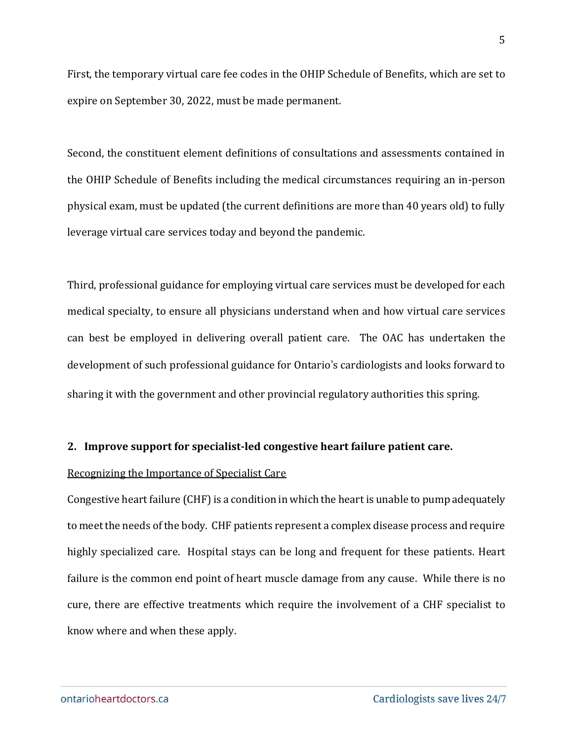First, the temporary virtual care fee codes in the OHIP Schedule of Benefits, which are set to expire on September 30, 2022, must be made permanent.

Second, the constituent element definitions of consultations and assessments contained in the OHIP Schedule of Benefits including the medical circumstances requiring an in-person physical exam, must be updated (the current definitions are more than 40 years old) to fully leverage virtual care services today and beyond the pandemic.

Third, professional guidance for employing virtual care services must be developed for each medical specialty, to ensure all physicians understand when and how virtual care services can best be employed in delivering overall patient care.The OAC has undertaken the development of such professional guidance for Ontario's cardiologists and looks forward to sharing it with the government and other provincial regulatory authorities this spring.

#### **2. Improve support for specialist-led congestive heart failure patient care.**

#### Recognizing the Importance of Specialist Care

Congestive heart failure (CHF) is a condition in which the heart is unable to pump adequately to meet the needs of the body. CHF patients represent a complex disease process and require highly specialized care. Hospital stays can be long and frequent for these patients. Heart failure is the common end point of heart muscle damage from any cause. While there is no cure, there are effective treatments which require the involvement of a CHF specialist to know where and when these apply.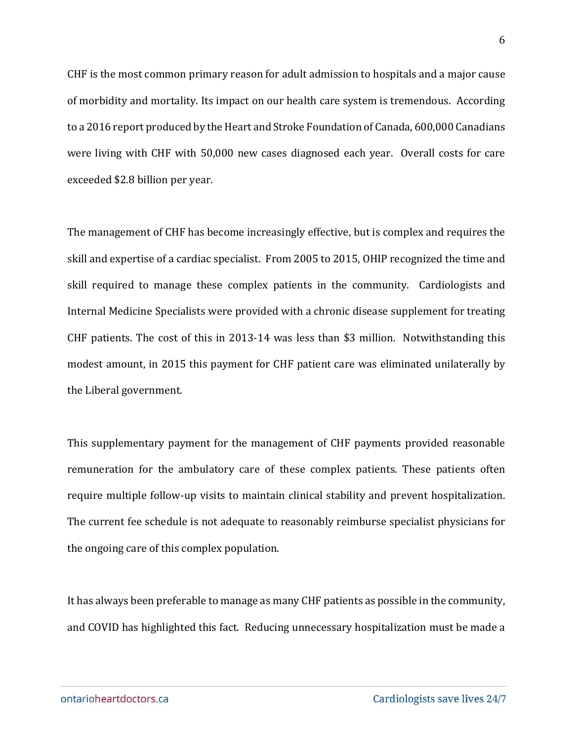CHF is the most common primary reason for adult admission to hospitals and a major cause of morbidity and mortality. Its impact on our health care system is tremendous. According to a 2016 report produced by the Heart and Stroke Foundation of Canada, 600,000 Canadians were living with CHF with 50,000 new cases diagnosed each year. Overall costs for care exceeded \$2.8 billion per year.

The management of CHF has become increasingly effective, but is complex and requires the skill and expertise of a cardiac specialist. From 2005 to 2015, OHIP recognized the time and skill required to manage these complex patients in the community. Cardiologists and Internal Medicine Specialists were provided with a chronic disease supplement for treating CHF patients. The cost of this in 2013-14 was less than \$3 million. Notwithstanding this modest amount, in 2015 this payment for CHF patient care was eliminated unilaterally by the Liberal government.

This supplementary payment for the management of CHF payments provided reasonable remuneration for the ambulatory care of these complex patients. These patients often require multiple follow-up visits to maintain clinical stability and prevent hospitalization. The current fee schedule is not adequate to reasonably reimburse specialist physicians for the ongoing care of this complex population.

It has always been preferable to manage as many CHF patients as possible in the community, and COVID has highlighted this fact. Reducing unnecessary hospitalization must be made a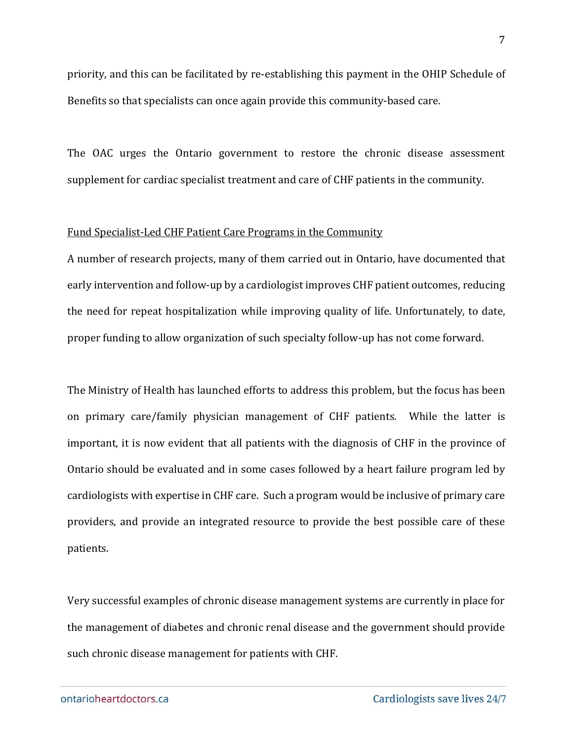priority, and this can be facilitated by re-establishing this payment in the OHIP Schedule of Benefits so that specialists can once again provide this community-based care.

The OAC urges the Ontario government to restore the chronic disease assessment supplement for cardiac specialist treatment and care of CHF patients in the community.

#### Fund Specialist-Led CHF Patient Care Programs in the Community

A number of research projects, many of them carried out in Ontario, have documented that early intervention and follow-up by a cardiologist improves CHF patient outcomes, reducing the need for repeat hospitalization while improving quality of life. Unfortunately, to date, proper funding to allow organization of such specialty follow-up has not come forward.

The Ministry of Health has launched efforts to address this problem, but the focus has been on primary care/family physician management of CHF patients. While the latter is important, it is now evident that all patients with the diagnosis of CHF in the province of Ontario should be evaluated and in some cases followed by a heart failure program led by cardiologists with expertise in CHF care. Such a program would be inclusive of primary care providers, and provide an integrated resource to provide the best possible care of these patients.

Very successful examples of chronic disease management systems are currently in place for the management of diabetes and chronic renal disease and the government should provide such chronic disease management for patients with CHF.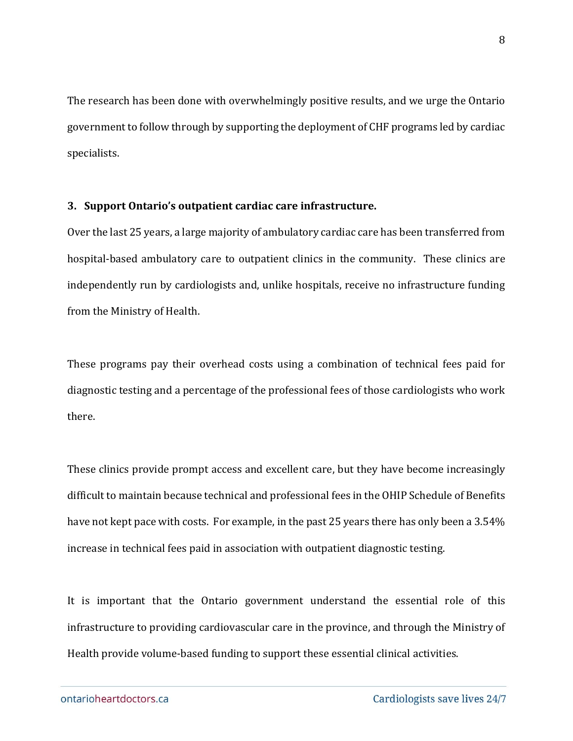The research has been done with overwhelmingly positive results, and we urge the Ontario government to follow through by supporting the deployment of CHF programs led by cardiac specialists.

## **3. Support Ontario's outpatient cardiac care infrastructure.**

Over the last 25 years, a large majority of ambulatory cardiac care has been transferred from hospital-based ambulatory care to outpatient clinics in the community. These clinics are independently run by cardiologists and, unlike hospitals, receive no infrastructure funding from the Ministry of Health.

These programs pay their overhead costs using a combination of technical fees paid for diagnostic testing and a percentage of the professional fees of those cardiologists who work there.

These clinics provide prompt access and excellent care, but they have become increasingly difficult to maintain because technical and professional fees in the OHIP Schedule of Benefits have not kept pace with costs. For example, in the past 25 years there has only been a 3.54% increase in technical fees paid in association with outpatient diagnostic testing.

It is important that the Ontario government understand the essential role of this infrastructure to providing cardiovascular care in the province, and through the Ministry of Health provide volume-based funding to support these essential clinical activities.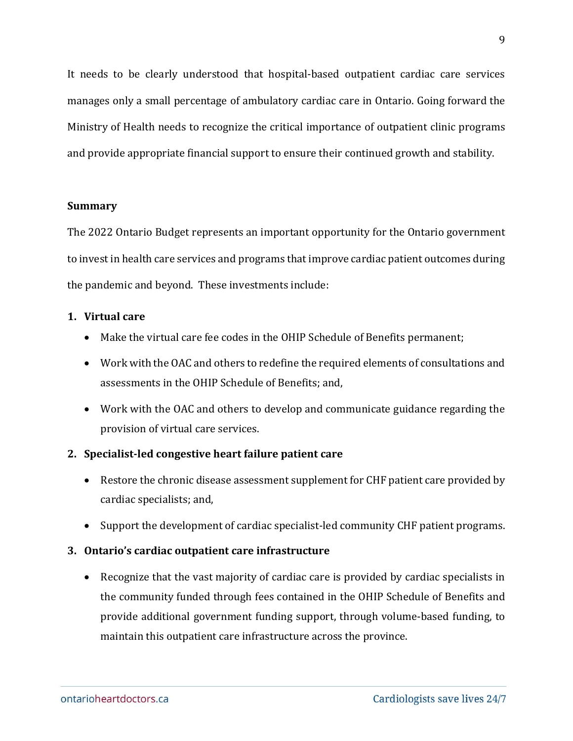It needs to be clearly understood that hospital-based outpatient cardiac care services manages only a small percentage of ambulatory cardiac care in Ontario. Going forward the Ministry of Health needs to recognize the critical importance of outpatient clinic programs and provide appropriate financial support to ensure their continued growth and stability.

## **Summary**

The 2022 Ontario Budget represents an important opportunity for the Ontario government to invest in health care services and programs that improve cardiac patient outcomes during the pandemic and beyond. These investments include:

# **1. Virtual care**

- Make the virtual care fee codes in the OHIP Schedule of Benefits permanent;
- Work with the OAC and others to redefine the required elements of consultations and assessments in the OHIP Schedule of Benefits; and,
- Work with the OAC and others to develop and communicate guidance regarding the provision of virtual care services.

# **2. Specialist-led congestive heart failure patient care**

- Restore the chronic disease assessment supplement for CHF patient care provided by cardiac specialists; and,
- Support the development of cardiac specialist-led community CHF patient programs.

# **3. Ontario's cardiac outpatient care infrastructure**

• Recognize that the vast majority of cardiac care is provided by cardiac specialists in the community funded through fees contained in the OHIP Schedule of Benefits and provide additional government funding support, through volume-based funding, to maintain this outpatient care infrastructure across the province.